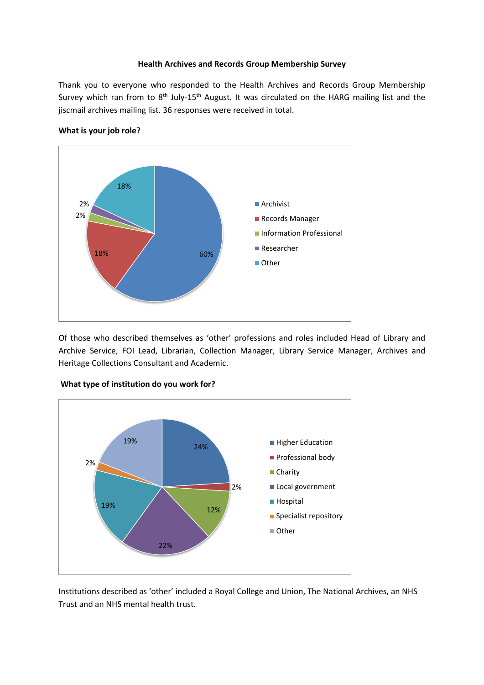### **Health Archives and Records Group Membership Survey**

Thank you to everyone who responded to the Health Archives and Records Group Membership Survey which ran from to  $8<sup>th</sup>$  July-15<sup>th</sup> August. It was circulated on the HARG mailing list and the jiscmail archives mailing list. 36 responses were received in total.



### **What is your job role?**

Of those who described themselves as 'other' professions and roles included Head of Library and Archive Service, FOI Lead, Librarian, Collection Manager, Library Service Manager, Archives and Heritage Collections Consultant and Academic.



#### **What type of institution do you work for?**

Institutions described as 'other' included a Royal College and Union, The National Archives, an NHS Trust and an NHS mental health trust.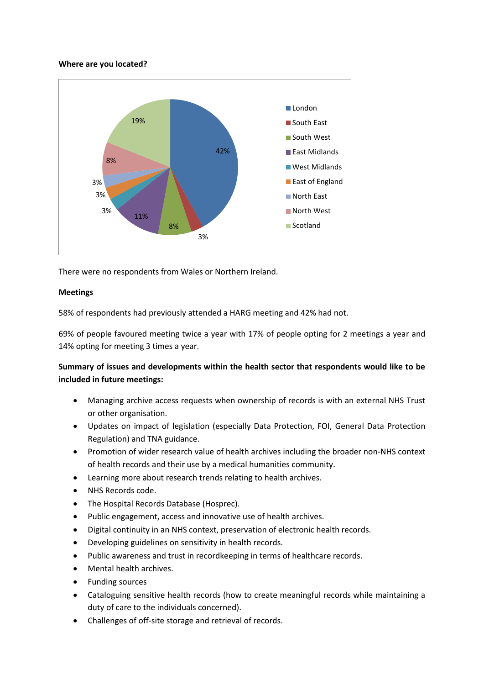### **Where are you located?**



There were no respondents from Wales or Northern Ireland.

## **Meetings**

58% of respondents had previously attended a HARG meeting and 42% had not.

69% of people favoured meeting twice a year with 17% of people opting for 2 meetings a year and 14% opting for meeting 3 times a year.

# **Summary of issues and developments within the health sector that respondents would like to be included in future meetings:**

- Managing archive access requests when ownership of records is with an external NHS Trust or other organisation.
- Updates on impact of legislation (especially Data Protection, FOI, General Data Protection Regulation) and TNA guidance.
- Promotion of wider research value of health archives including the broader non-NHS context of health records and their use by a medical humanities community.
- Learning more about research trends relating to health archives.
- NHS Records code.
- The Hospital Records Database (Hosprec).
- Public engagement, access and innovative use of health archives.
- Digital continuity in an NHS context, preservation of electronic health records.
- Developing guidelines on sensitivity in health records.
- Public awareness and trust in recordkeeping in terms of healthcare records.
- Mental health archives.
- Funding sources
- Cataloguing sensitive health records (how to create meaningful records while maintaining a duty of care to the individuals concerned).
- Challenges of off-site storage and retrieval of records.